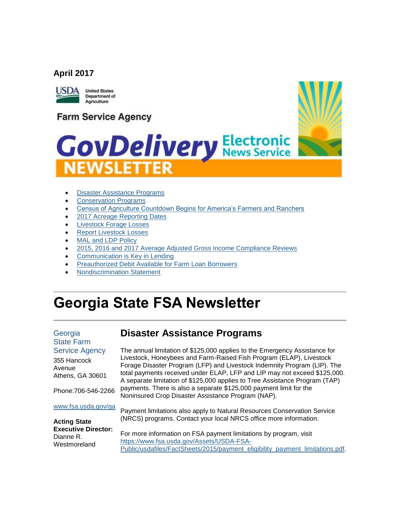#### **April 2017**



**United States** Department of Agriculture

## **Farm Service Agency**

# **GovDelivery Electronic**



- [Disaster Assistance](#page-0-0) Programs
- [Conservation Programs](#page-1-0)
- [Census of Agriculture Countdown Begins for America's Farmers and Ranchers](#page-1-1)
- [2017 Acreage Reporting Dates](#page-2-0)
- [Livestock Forage Losses](#page-2-1)
- [Report Livestock Losses](#page-3-0)
- MAL and LDP Policy
- [2015, 2016 and 2017 Average Adjusted Gross Income Compliance Reviews](#page-4-0)
- [Communication is Key in Lending](#page-5-0)
- [Preauthorized Debit Available for Farm Loan Borrowers](#page-5-1)
- [Nondiscrimination Statement](#page-6-0)

## **Georgia State FSA Newsletter**

#### Georgia State Farm Service A

355 Hanco Avenue Athens,  $G/A$ 

Phone: 706

#### www.fsa.us

## <span id="page-0-0"></span>**Disaster Assistance Programs**

| Agency     | The annual limitation of \$125,000 applies to the Emergency Assistance for  |
|------------|-----------------------------------------------------------------------------|
| <b>ock</b> | Livestock, Honeybees and Farm-Raised Fish Program (ELAP), Livestock         |
|            | Forage Disaster Program (LFP) and Livestock Indemnity Program (LIP). The    |
| A 30601    | total payments received under ELAP, LFP and LIP may not exceed \$125,000.   |
|            | A separate limitation of \$125,000 applies to Tree Assistance Program (TAP) |
| 3-546-2266 | payments. There is also a separate \$125,000 payment limit for the          |
|            | Noninsured Crop Disaster Assistance Program (NAP).                          |
| sda.gov/ga |                                                                             |
|            | Payment limitations also apply to Natural Resources Conservation Service    |
| $\sim$     | (NRCS) programs. Contact your local NRCS office more information.           |

**Acting State Executive Director:** Dianne R. Westmoreland

#### For more information on FSA payment limitations by program, visit [https://www.fsa.usda.gov/Assets/USDA-FSA-](https://www.fsa.usda.gov/Assets/USDA-FSA-Public/usdafiles/FactSheets/2015/payment_eligibility_payment_limitations.pdf)[Public/usdafiles/FactSheets/2015/payment\\_eligibility\\_payment\\_limitations.pdf.](https://www.fsa.usda.gov/Assets/USDA-FSA-Public/usdafiles/FactSheets/2015/payment_eligibility_payment_limitations.pdf)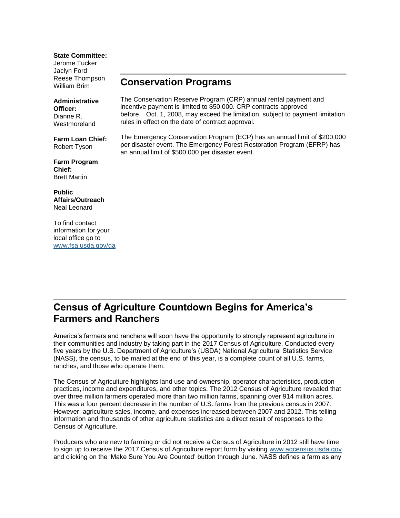**State Committee:**

Jerome Tucker Jaclyn Ford Reese Thompson William Brim

#### **Administrative Officer:** Dianne R. **Westmoreland**

**Farm Loan Chief:** Robert Tyson

**Farm Program Chief:** Brett Martin

**Public Affairs/Outreach** Neal Leonard

To find contact information for your local office go to [www.fsa.usda.gov/ga](http://www.fsa.usda.gov/ga)

#### <span id="page-1-0"></span>**Conservation Programs**

The Conservation Reserve Program (CRP) annual rental payment and incentive payment is limited to \$50,000. CRP contracts approved before Oct. 1, 2008, may exceed the limitation, subject to payment limitation rules in effect on the date of contract approval.

The Emergency Conservation Program (ECP) has an annual limit of \$200,000 per disaster event. The Emergency Forest Restoration Program (EFRP) has an annual limit of \$500,000 per disaster event.

## <span id="page-1-1"></span>**Census of Agriculture Countdown Begins for America's Farmers and Ranchers**

America's farmers and ranchers will soon have the opportunity to strongly represent agriculture in their communities and industry by taking part in the 2017 Census of Agriculture. Conducted every five years by the U.S. Department of Agriculture's (USDA) National Agricultural Statistics Service (NASS), the census, to be mailed at the end of this year, is a complete count of all U.S. farms, ranches, and those who operate them.

The Census of Agriculture highlights land use and ownership, operator characteristics, production practices, income and expenditures, and other topics. The 2012 Census of Agriculture revealed that over three million farmers operated more than two million farms, spanning over 914 million acres. This was a four percent decrease in the number of U.S. farms from the previous census in 2007. However, agriculture sales, income, and expenses increased between 2007 and 2012. This telling information and thousands of other agriculture statistics are a direct result of responses to the Census of Agriculture.

Producers who are new to farming or did not receive a Census of Agriculture in 2012 still have time to sign up to receive the 2017 Census of Agriculture report form by visiting [www.agcensus.usda.gov](https://www.agcensus.usda.gov/) and clicking on the 'Make Sure You Are Counted' button through June. NASS defines a farm as any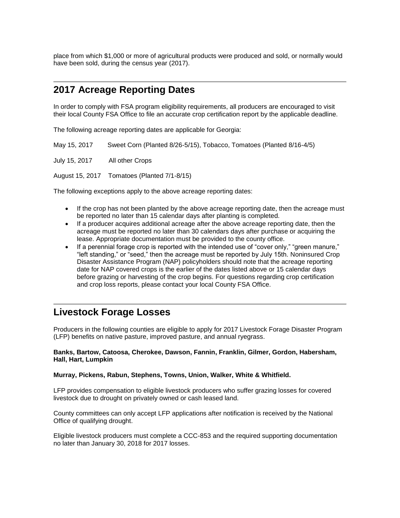place from which \$1,000 or more of agricultural products were produced and sold, or normally would have been sold, during the census year (2017).

#### <span id="page-2-0"></span>**2017 Acreage Reporting Dates**

In order to comply with FSA program eligibility requirements, all producers are encouraged to visit their local County FSA Office to file an accurate crop certification report by the applicable deadline.

The following acreage reporting dates are applicable for Georgia:

May 15, 2017 Sweet Corn (Planted 8/26-5/15), Tobacco, Tomatoes (Planted 8/16-4/5)

July 15, 2017 All other Crops

August 15, 2017 Tomatoes (Planted 7/1-8/15)

The following exceptions apply to the above acreage reporting dates:

- If the crop has not been planted by the above acreage reporting date, then the acreage must be reported no later than 15 calendar days after planting is completed.
- If a producer acquires additional acreage after the above acreage reporting date, then the acreage must be reported no later than 30 calendars days after purchase or acquiring the lease. Appropriate documentation must be provided to the county office.
- If a perennial forage crop is reported with the intended use of "cover only," "green manure," "left standing," or "seed," then the acreage must be reported by July 15th. Noninsured Crop Disaster Assistance Program (NAP) policyholders should note that the acreage reporting date for NAP covered crops is the earlier of the dates listed above or 15 calendar days before grazing or harvesting of the crop begins. For questions regarding crop certification and crop loss reports, please contact your local County FSA Office.

#### <span id="page-2-1"></span>**Livestock Forage Losses**

Producers in the following counties are eligible to apply for 2017 Livestock Forage Disaster Program (LFP) benefits on native pasture, improved pasture, and annual ryegrass.

#### **Banks, Bartow, Catoosa, Cherokee, Dawson, Fannin, Franklin, Gilmer, Gordon, Habersham, Hall, Hart, Lumpkin**

#### **Murray, Pickens, Rabun, Stephens, Towns, Union, Walker, White & Whitfield.**

LFP provides compensation to eligible livestock producers who suffer grazing losses for covered livestock due to drought on privately owned or cash leased land.

County committees can only accept LFP applications after notification is received by the National Office of qualifying drought.

Eligible livestock producers must complete a CCC-853 and the required supporting documentation no later than January 30, 2018 for 2017 losses.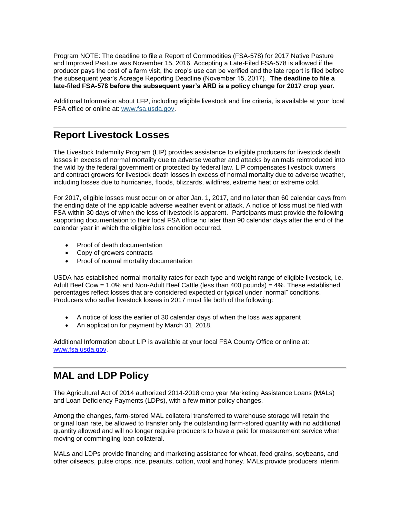Program NOTE: The deadline to file a Report of Commodities (FSA-578) for 2017 Native Pasture and Improved Pasture was November 15, 2016. Accepting a Late-Filed FSA-578 is allowed if the producer pays the cost of a farm visit, the crop's use can be verified and the late report is filed before the subsequent year's Acreage Reporting Deadline (November 15, 2017). **The deadline to file a late-filed FSA-578 before the subsequent year's ARD is a policy change for 2017 crop year.**

Additional Information about LFP, including eligible livestock and fire criteria, is available at your local FSA office or online at: [www.fsa.usda.gov.](http://www.fsa.usda.gov/)

#### <span id="page-3-0"></span>**Report Livestock Losses**

The Livestock Indemnity Program (LIP) provides assistance to eligible producers for livestock death losses in excess of normal mortality due to adverse weather and attacks by animals reintroduced into the wild by the federal government or protected by federal law. LIP compensates livestock owners and contract growers for livestock death losses in excess of normal mortality due to adverse weather, including losses due to hurricanes, floods, blizzards, wildfires, extreme heat or extreme cold.

For 2017, eligible losses must occur on or after Jan. 1, 2017, and no later than 60 calendar days from the ending date of the applicable adverse weather event or attack. A notice of loss must be filed with FSA within 30 days of when the loss of livestock is apparent. Participants must provide the following supporting documentation to their local FSA office no later than 90 calendar days after the end of the calendar year in which the eligible loss condition occurred.

- Proof of death documentation
- Copy of growers contracts
- Proof of normal mortality documentation

USDA has established normal mortality rates for each type and weight range of eligible livestock, i.e. Adult Beef Cow = 1.0% and Non-Adult Beef Cattle (less than 400 pounds) =  $4\%$ . These established percentages reflect losses that are considered expected or typical under "normal" conditions. Producers who suffer livestock losses in 2017 must file both of the following:

- A notice of loss the earlier of 30 calendar days of when the loss was apparent
- An application for payment by March 31, 2018.

Additional Information about LIP is available at your local FSA County Office or online at: [www.fsa.usda.gov.](http://www.fsa.usda.gov/)

## <span id="page-3-1"></span>**MAL and LDP Policy**

The Agricultural Act of 2014 authorized 2014-2018 crop year Marketing Assistance Loans (MALs) and Loan Deficiency Payments (LDPs), with a few minor policy changes.

Among the changes, farm-stored MAL collateral transferred to warehouse storage will retain the original loan rate, be allowed to transfer only the outstanding farm-stored quantity with no additional quantity allowed and will no longer require producers to have a paid for measurement service when moving or commingling loan collateral.

MALs and LDPs provide financing and marketing assistance for wheat, feed grains, soybeans, and other oilseeds, pulse crops, rice, peanuts, cotton, wool and honey. MALs provide producers interim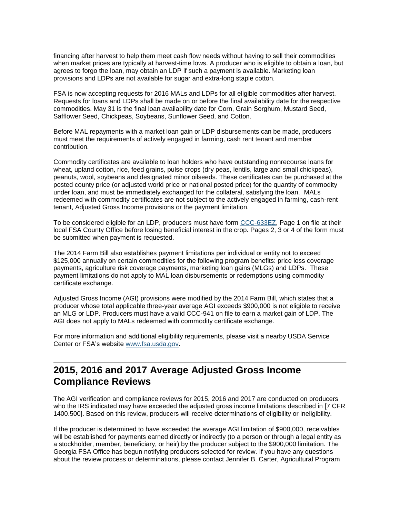financing after harvest to help them meet cash flow needs without having to sell their commodities when market prices are typically at harvest-time lows. A producer who is eligible to obtain a loan, but agrees to forgo the loan, may obtain an LDP if such a payment is available. Marketing loan provisions and LDPs are not available for sugar and extra-long staple cotton.

FSA is now accepting requests for 2016 MALs and LDPs for all eligible commodities after harvest. Requests for loans and LDPs shall be made on or before the final availability date for the respective commodities. May 31 is the final loan availability date for Corn, Grain Sorghum, Mustard Seed, Safflower Seed, Chickpeas, Soybeans, Sunflower Seed, and Cotton.

Before MAL repayments with a market loan gain or LDP disbursements can be made, producers must meet the requirements of actively engaged in farming, cash rent tenant and member contribution.

Commodity certificates are available to loan holders who have outstanding nonrecourse loans for wheat, upland cotton, rice, feed grains, pulse crops (dry peas, lentils, large and small chickpeas), peanuts, wool, soybeans and designated minor oilseeds. These certificates can be purchased at the posted county price (or adjusted world price or national posted price) for the quantity of commodity under loan, and must be immediately exchanged for the collateral, satisfying the loan. MALs redeemed with commodity certificates are not subject to the actively engaged in farming, cash-rent tenant, Adjusted Gross Income provisions or the payment limitation.

To be considered eligible for an LDP, producers must have form [CCC-633EZ,](http://forms.sc.egov.usda.gov/efcommon/eFileServices/eFormsAdmin/CCC0633EZ_140328V03.pdf) Page 1 on file at their local FSA County Office before losing beneficial interest in the crop. Pages 2, 3 or 4 of the form must be submitted when payment is requested.

The 2014 Farm Bill also establishes payment limitations per individual or entity not to exceed \$125,000 annually on certain commodities for the following program benefits: price loss coverage payments, agriculture risk coverage payments, marketing loan gains (MLGs) and LDPs. These payment limitations do not apply to MAL loan disbursements or redemptions using commodity certificate exchange.

Adjusted Gross Income (AGI) provisions were modified by the 2014 Farm Bill, which states that a producer whose total applicable three-year average AGI exceeds \$900,000 is not eligible to receive an MLG or LDP. Producers must have a valid CCC-941 on file to earn a market gain of LDP. The AGI does not apply to MALs redeemed with commodity certificate exchange.

For more information and additional eligibility requirements, please visit a nearby USDA Service Center or FSA's website [www.fsa.usda.gov.](http://www.fsa.usda.gov/)

## <span id="page-4-0"></span>**2015, 2016 and 2017 Average Adjusted Gross Income Compliance Reviews**

The AGI verification and compliance reviews for 2015, 2016 and 2017 are conducted on producers who the IRS indicated may have exceeded the adjusted gross income limitations described in [7 CFR 1400.500]. Based on this review, producers will receive determinations of eligibility or ineligibility.

If the producer is determined to have exceeded the average AGI limitation of \$900,000, receivables will be established for payments earned directly or indirectly (to a person or through a legal entity as a stockholder, member, beneficiary, or heir) by the producer subject to the \$900,000 limitation. The Georgia FSA Office has begun notifying producers selected for review. If you have any questions about the review process or determinations, please contact Jennifer B. Carter, Agricultural Program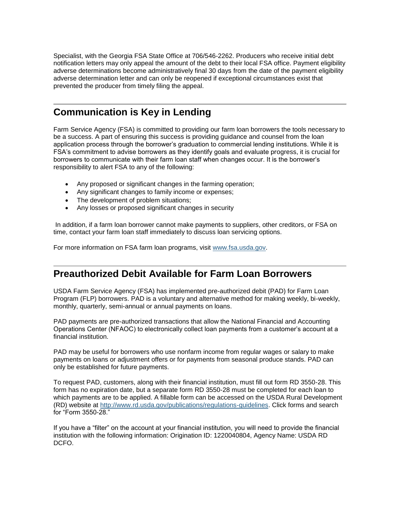Specialist, with the Georgia FSA State Office at 706/546-2262. Producers who receive initial debt notification letters may only appeal the amount of the debt to their local FSA office. Payment eligibility adverse determinations become administratively final 30 days from the date of the payment eligibility adverse determination letter and can only be reopened if exceptional circumstances exist that prevented the producer from timely filing the appeal.

## <span id="page-5-0"></span>**Communication is Key in Lending**

Farm Service Agency (FSA) is committed to providing our farm loan borrowers the tools necessary to be a success. A part of ensuring this success is providing guidance and counsel from the loan application process through the borrower's graduation to commercial lending institutions. While it is FSA's commitment to advise borrowers as they identify goals and evaluate progress, it is crucial for borrowers to communicate with their farm loan staff when changes occur. It is the borrower's responsibility to alert FSA to any of the following:

- Any proposed or significant changes in the farming operation;
- Any significant changes to family income or expenses;
- The development of problem situations;
- Any losses or proposed significant changes in security

In addition, if a farm loan borrower cannot make payments to suppliers, other creditors, or FSA on time, contact your farm loan staff immediately to discuss loan servicing options.

For more information on FSA farm loan programs, visit [www.fsa.usda.gov.](http://www.fsa.usda.gov/)

## <span id="page-5-1"></span>**Preauthorized Debit Available for Farm Loan Borrowers**

USDA Farm Service Agency (FSA) has implemented pre-authorized debit (PAD) for Farm Loan Program (FLP) borrowers. PAD is a voluntary and alternative method for making weekly, bi-weekly, monthly, quarterly, semi-annual or annual payments on loans.

PAD payments are pre-authorized transactions that allow the National Financial and Accounting Operations Center (NFAOC) to electronically collect loan payments from a customer's account at a financial institution.

PAD may be useful for borrowers who use nonfarm income from regular wages or salary to make payments on loans or adjustment offers or for payments from seasonal produce stands. PAD can only be established for future payments.

To request PAD, customers, along with their financial institution, must fill out form RD 3550-28. This form has no expiration date, but a separate form RD 3550-28 must be completed for each loan to which payments are to be applied. A fillable form can be accessed on the USDA Rural Development (RD) website at [http://www.rd.usda.gov/publications/regulations-guidelines.](http://www.rd.usda.gov/publications/regulations-guidelines) Click forms and search for "Form 3550-28."

If you have a "filter" on the account at your financial institution, you will need to provide the financial institution with the following information: Origination ID: 1220040804, Agency Name: USDA RD DCFO.